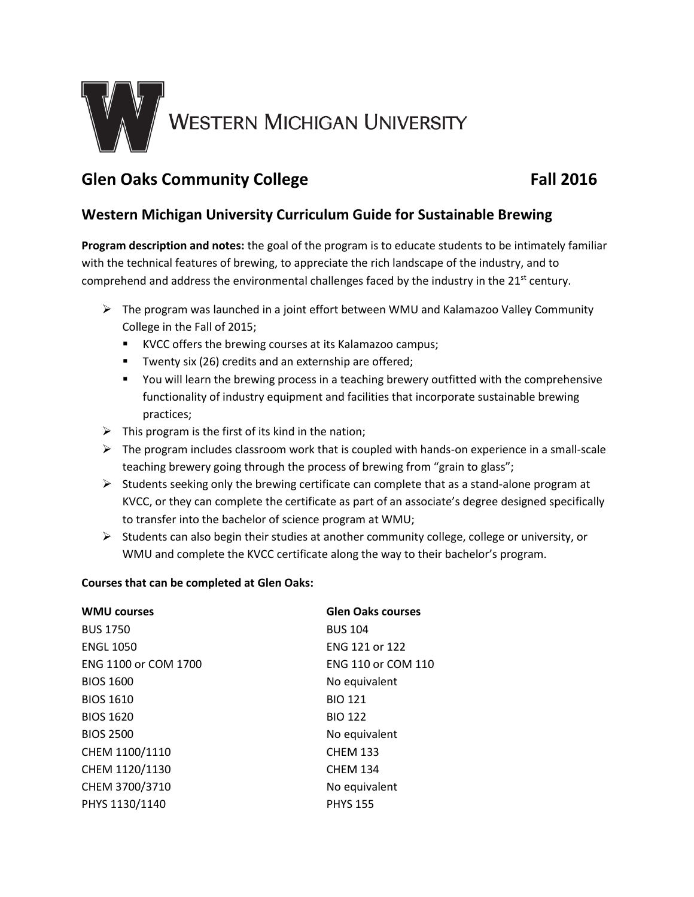

# **Glen Oaks Community College Fall 2016**

# **Western Michigan University Curriculum Guide for Sustainable Brewing**

**Program description and notes:** the goal of the program is to educate students to be intimately familiar with the technical features of brewing, to appreciate the rich landscape of the industry, and to comprehend and address the environmental challenges faced by the industry in the 21<sup>st</sup> century.

- $\triangleright$  The program was launched in a joint effort between WMU and Kalamazoo Valley Community College in the Fall of 2015;
	- KVCC offers the brewing courses at its Kalamazoo campus;
	- **T** Twenty six (26) credits and an externship are offered;
	- You will learn the brewing process in a teaching brewery outfitted with the comprehensive functionality of industry equipment and facilities that incorporate sustainable brewing practices;
- $\triangleright$  This program is the first of its kind in the nation;
- $\triangleright$  The program includes classroom work that is coupled with hands-on experience in a small-scale teaching brewery going through the process of brewing from "grain to glass";
- $\triangleright$  Students seeking only the brewing certificate can complete that as a stand-alone program at KVCC, or they can complete the certificate as part of an associate's degree designed specifically to transfer into the bachelor of science program at WMU;
- $\triangleright$  Students can also begin their studies at another community college, college or university, or WMU and complete the KVCC certificate along the way to their bachelor's program.

# **Courses that can be completed at Glen Oaks:**

| <b>WMU courses</b>   | <b>Glen Oaks courses</b>  |
|----------------------|---------------------------|
| <b>BUS 1750</b>      | <b>BUS 104</b>            |
| <b>ENGL 1050</b>     | FNG 121 or 122            |
| ENG 1100 or COM 1700 | <b>ENG 110 or COM 110</b> |
| <b>BIOS 1600</b>     | No equivalent             |
| <b>BIOS 1610</b>     | <b>BIO 121</b>            |
| <b>BIOS 1620</b>     | <b>BIO 122</b>            |
| <b>BIOS 2500</b>     | No equivalent             |
| CHEM 1100/1110       | <b>CHEM 133</b>           |
| CHEM 1120/1130       | <b>CHEM 134</b>           |
| CHEM 3700/3710       | No equivalent             |
| PHYS 1130/1140       | <b>PHYS 155</b>           |